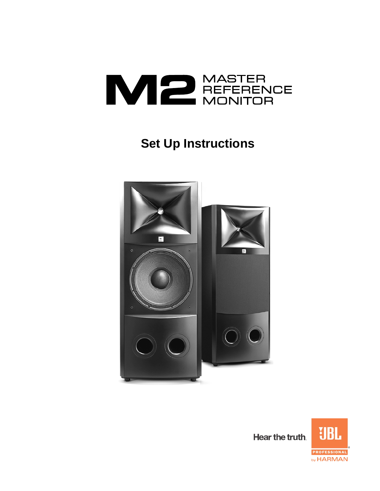

# **Set Up Instructions**



Hear the truth.

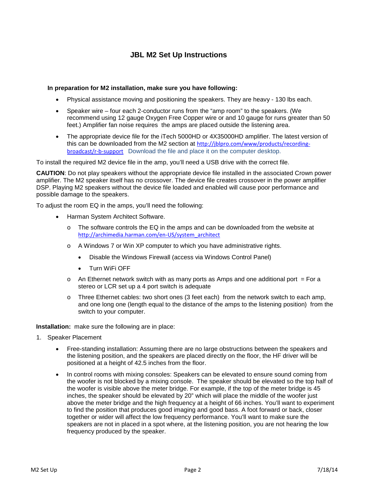# **JBL M2 Set Up Instructions**

#### **In preparation for M2 installation, make sure you have following:**

- Physical assistance moving and positioning the speakers. They are heavy 130 lbs each.
- Speaker wire four each 2-conductor runs from the "amp room" to the speakers. (We recommend using 12 gauge Oxygen Free Copper wire or and 10 gauge for runs greater than 50 feet.) Amplifier fan noise requires the amps are placed outside the listening area.
- The appropriate device file for the iTech 5000HD or 4X35000HD amplifier. The latest version of this can be downloaded from the M2 section at [http://jblpro.com/www/products/recording](http://jblpro.com/www/products/recording-broadcast/r-b-support)[broadcast/r-b-support](http://jblpro.com/www/products/recording-broadcast/r-b-support) Download the file and place it on the computer desktop.

To install the required M2 device file in the amp, you'll need a USB drive with the correct file.

**CAUTION**: Do not play speakers without the appropriate device file installed in the associated Crown power amplifier. The M2 speaker itself has no crossover. The device file creates crossover in the power amplifier DSP. Playing M2 speakers without the device file loaded and enabled will cause poor performance and possible damage to the speakers.

To adjust the room EQ in the amps, you'll need the following:

- Harman System Architect Software.
	- $\circ$  The software controls the EQ in the amps and can be downloaded from the website at [http://archimedia.harman.com/en-US/system\\_architect](http://archimedia.harman.com/en-US/system_architect)
	- o A Windows 7 or Win XP computer to which you have administrative rights.
		- Disable the Windows Firewall (access via Windows Control Panel)
		- Turn WiFi OFF
	- $\circ$  An Ethernet network switch with as many ports as Amps and one additional port = For a stereo or LCR set up a 4 port switch is adequate
	- o Three Ethernet cables: two short ones (3 feet each) from the network switch to each amp, and one long one (length equal to the distance of the amps to the listening position) from the switch to your computer.

#### **Installation:** make sure the following are in place:

- 1. Speaker Placement
	- Free-standing installation: Assuming there are no large obstructions between the speakers and the listening position, and the speakers are placed directly on the floor, the HF driver will be positioned at a height of 42.5 inches from the floor.
	- In control rooms with mixing consoles: Speakers can be elevated to ensure sound coming from the woofer is not blocked by a mixing console. The speaker should be elevated so the top half of the woofer is visible above the meter bridge. For example, if the top of the meter bridge is 45 inches, the speaker should be elevated by 20" which will place the middle of the woofer just above the meter bridge and the high frequency at a height of 66 inches. You'll want to experiment to find the position that produces good imaging and good bass. A foot forward or back, closer together or wider will affect the low frequency performance. You'll want to make sure the speakers are not in placed in a spot where, at the listening position, you are not hearing the low frequency produced by the speaker.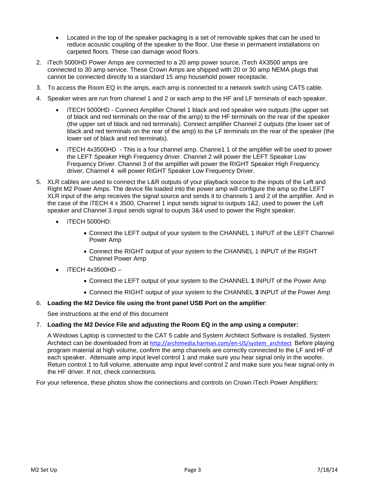- Located in the top of the speaker packaging is a set of removable spikes that can be used to reduce acoustic coupling of the speaker to the floor. Use these in permanent installations on carpeted floors. These can damage wood floors.
- 2. iTech 5000HD Power Amps are connected to a 20 amp power source, iTech 4X3500 amps are connected to 30 amp service. These Crown Amps are shipped with 20 or 30 amp NEMA plugs that cannot be connected directly to a standard 15 amp household power receptacle.
- 3. To access the Room EQ in the amps, each amp is connected to a network switch using CAT5 cable.
- 4. Speaker wires are run from channel 1 and 2 or each amp to the HF and LF terminals of each speaker.
	- iTECH 5000HD Connect Amplifier Chanel 1 black and red speaker wire outputs (the upper set of black and red terminals on the rear of the amp) to the HF terminals on the rear of the speaker (the upper set of black and red terminals). Connect amplifier Channel 2 outputs (the lower set of black and red terminals on the rear of the amp) to the LF terminals on the rear of the speaker (the lower set of black and red terminals).
	- iTECH 4x3500HD This is a four channel amp. Channe1 1 of the amplifier will be used to power the LEFT Speaker High Frequency driver. Channel 2 will power the LEFT Speaker Low Frequency Driver. Channel 3 of the amplifier will power the RIGHT Speaker High Frequency driver. Channel 4 will power RIGHT Speaker Low Frequency Driver.
- 5. XLR cables are used to connect the L&R outputs of your playback source to the inputs of the Left and Right M2 Power Amps. The device file loaded into the power amp will configure the amp so the LEFT XLR input of the amp receives the signal source and sends it to channels 1 and 2 of the amplifier. And in the case of the iTECH 4 x 3500, Channel 1 input sends signal to outputs 1&2, used to power the Left speaker and Channel 3 input sends signal to ouputs 3&4 used to power the Right speaker.
	- iTECH 5000HD:
		- Connect the LEFT output of your system to the CHANNEL 1 INPUT of the LEFT Channel Power Amp
		- Connect the RIGHT output of your system to the CHANNEL 1 INPUT of the RIGHT Channel Power Amp
	- iTECH 4x3500HD
		- Connect the LEFT output of your system to the CHANNEL **1** INPUT of the Power Amp
		- Connect the RIGHT output of your system to the CHANNEL **3** INPUT of the Power Amp

# 6. **Loading the M2 Device file using the front panel USB Port on the amplifier**:

See instructions at the end of this document

# 7. **Loading the M2 Device File and adjusting the Room EQ in the amp using a computer:**

A Windows Laptop is connected to the CAT 5 cable and System Architect Software is installed. System Architect can be downloaded from at [http://archimedia.harman.com/en-US/system\\_architect](http://archimedia.harman.com/en-US/system_architect) Before playing program material at high volume, confirm the amp channels are correctly connected to the LF and HF of each speaker. Attenuate amp input level control 1 and make sure you hear signal only in the woofer. Return control 1 to full volume, attenuate amp input level control 2 and make sure you hear signal only in the HF driver. If not, check connections.

For your reference, these photos show the connections and controls on Crown iTech Power Amplifiers: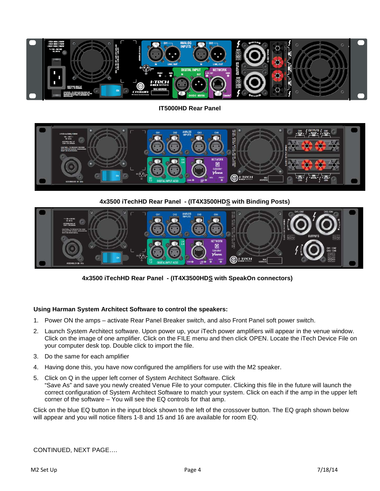

#### **IT5000HD Rear Panel**



#### **4x3500 iTechHD Rear Panel - (IT4X3500HDS with Binding Posts)**



**4x3500 iTechHD Rear Panel - (IT4X3500HDS with SpeakOn connectors)**

#### **Using Harman System Architect Software to control the speakers:**

- 1. Power ON the amps activate Rear Panel Breaker switch, and also Front Panel soft power switch.
- 2. Launch System Architect software. Upon power up, your iTech power amplifiers will appear in the venue window. Click on the image of one amplifier. Click on the FILE menu and then click OPEN. Locate the iTech Device File on your computer desk top. Double click to import the file.
- 3. Do the same for each amplifier
- 4. Having done this, you have now configured the amplifiers for use with the M2 speaker.
- 5. Click on Q in the upper left corner of System Architect Software. Click "Save As" and save you newly created Venue File to your computer. Clicking this file in the future will launch the correct configuration of System Architect Software to match your system. Click on each if the amp in the upper left corner of the software – You will see the EQ controls for that amp.

Click on the blue EQ button in the input block shown to the left of the crossover button. The EQ graph shown below will appear and you will notice filters 1-8 and 15 and 16 are available for room EQ.

CONTINUED, NEXT PAGE….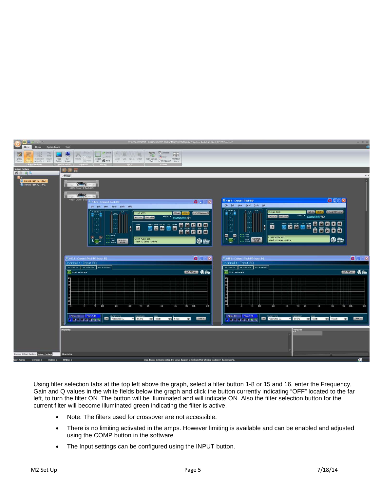

Using filter selection tabs at the top left above the graph, select a filter button 1-8 or 15 and 16, enter the Frequency, Gain and Q values in the white fields below the graph and click the button currently indicating "OFF" located to the far left, to turn the filter ON. The button will be illuminated and will indicate ON. Also the filter selection button for the current filter will become illuminated green indicating the filter is active.

- Note: The filters used for crossover are not accessible.
- There is no limiting activated in the amps. However limiting is available and can be enabled and adjusted using the COMP button in the software.
- The Input settings can be configured using the INPUT button.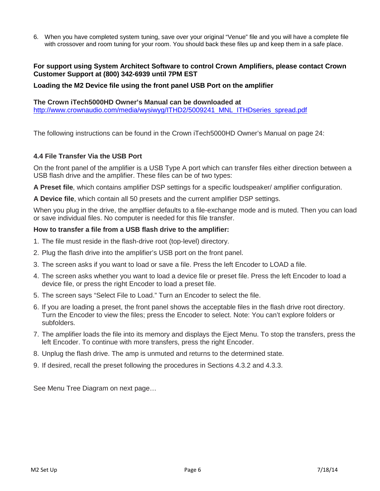6. When you have completed system tuning, save over your original "Venue" file and you will have a complete file with crossover and room tuning for your room. You should back these files up and keep them in a safe place.

# **For support using System Architect Software to control Crown Amplifiers, please contact Crown Customer Support at (800) 342-6939 until 7PM EST**

# **Loading the M2 Device file using the front panel USB Port on the amplifier**

#### **The Crown iTech5000HD Owner's Manual can be downloaded at**  [http://www.crownaudio.com/media/wysiwyg/ITHD2/5009241\\_MNL\\_ITHDseries\\_spread.pdf](http://www.crownaudio.com/media/wysiwyg/ITHD2/5009241_MNL_ITHDseries_spread.pdf)

The following instructions can be found in the Crown iTech5000HD Owner's Manual on page 24:

# **4.4 File Transfer Via the USB Port**

On the front panel of the amplifier is a USB Type A port which can transfer files either direction between a USB flash drive and the amplifier. These files can be of two types:

**A Preset file**, which contains amplifier DSP settings for a specific loudspeaker/ amplifier configuration.

**A Device file**, which contain all 50 presets and the current amplifier DSP settings.

When you plug in the drive, the amplfiier defaults to a file-exchange mode and is muted. Then you can load or save individual files. No computer is needed for this file transfer.

# **How to transfer a file from a USB flash drive to the amplifier:**

- 1. The file must reside in the flash-drive root (top-level) directory.
- 2. Plug the flash drive into the amplifier's USB port on the front panel.
- 3. The screen asks if you want to load or save a file. Press the left Encoder to LOAD a file.
- 4. The screen asks whether you want to load a device file or preset file. Press the left Encoder to load a device file, or press the right Encoder to load a preset file.
- 5. The screen says "Select File to Load." Turn an Encoder to select the file.
- 6. If you are loading a preset, the front panel shows the acceptable files in the flash drive root directory. Turn the Encoder to view the files; press the Encoder to select. Note: You can't explore folders or subfolders.
- 7. The amplifier loads the file into its memory and displays the Eject Menu. To stop the transfers, press the left Encoder. To continue with more transfers, press the right Encoder.
- 8. Unplug the flash drive. The amp is unmuted and returns to the determined state.
- 9. If desired, recall the preset following the procedures in Sections 4.3.2 and 4.3.3.

See Menu Tree Diagram on next page…